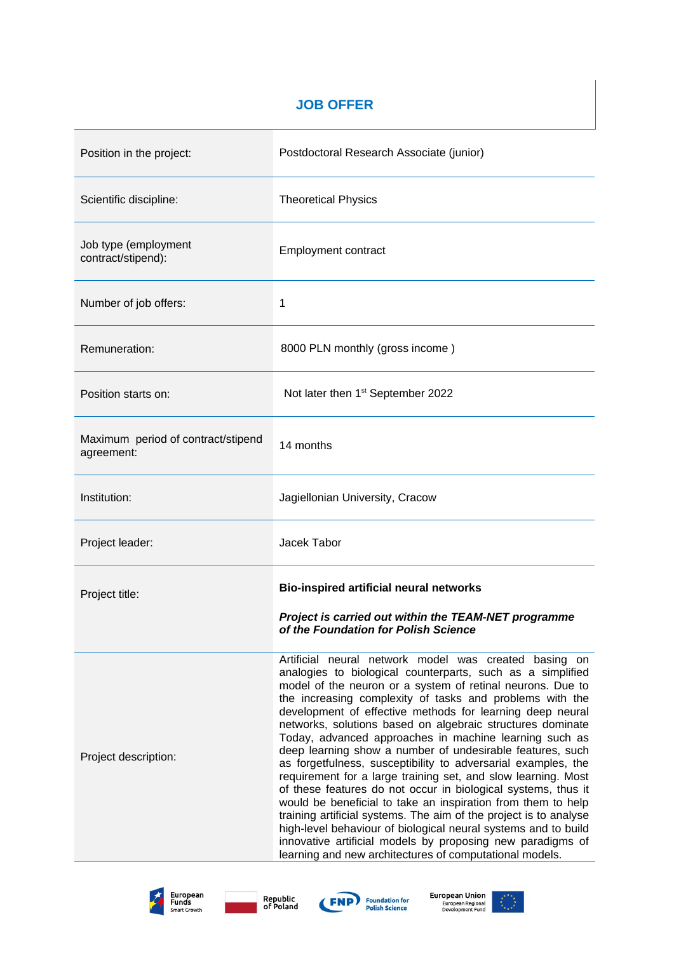## **JOB OFFER**

| Position in the project:                         | Postdoctoral Research Associate (junior)                                                                                                                                                                                                                                                                                                                                                                                                                                                                                                                                                                                                                                                                                                                                                                                                                                                                                                                                                                                           |
|--------------------------------------------------|------------------------------------------------------------------------------------------------------------------------------------------------------------------------------------------------------------------------------------------------------------------------------------------------------------------------------------------------------------------------------------------------------------------------------------------------------------------------------------------------------------------------------------------------------------------------------------------------------------------------------------------------------------------------------------------------------------------------------------------------------------------------------------------------------------------------------------------------------------------------------------------------------------------------------------------------------------------------------------------------------------------------------------|
| Scientific discipline:                           | <b>Theoretical Physics</b>                                                                                                                                                                                                                                                                                                                                                                                                                                                                                                                                                                                                                                                                                                                                                                                                                                                                                                                                                                                                         |
| Job type (employment<br>contract/stipend):       | <b>Employment contract</b>                                                                                                                                                                                                                                                                                                                                                                                                                                                                                                                                                                                                                                                                                                                                                                                                                                                                                                                                                                                                         |
| Number of job offers:                            | 1                                                                                                                                                                                                                                                                                                                                                                                                                                                                                                                                                                                                                                                                                                                                                                                                                                                                                                                                                                                                                                  |
| Remuneration:                                    | 8000 PLN monthly (gross income)                                                                                                                                                                                                                                                                                                                                                                                                                                                                                                                                                                                                                                                                                                                                                                                                                                                                                                                                                                                                    |
| Position starts on:                              | Not later then 1 <sup>st</sup> September 2022                                                                                                                                                                                                                                                                                                                                                                                                                                                                                                                                                                                                                                                                                                                                                                                                                                                                                                                                                                                      |
| Maximum period of contract/stipend<br>agreement: | 14 months                                                                                                                                                                                                                                                                                                                                                                                                                                                                                                                                                                                                                                                                                                                                                                                                                                                                                                                                                                                                                          |
| Institution:                                     | Jagiellonian University, Cracow                                                                                                                                                                                                                                                                                                                                                                                                                                                                                                                                                                                                                                                                                                                                                                                                                                                                                                                                                                                                    |
| Project leader:                                  | Jacek Tabor                                                                                                                                                                                                                                                                                                                                                                                                                                                                                                                                                                                                                                                                                                                                                                                                                                                                                                                                                                                                                        |
| Project title:                                   | <b>Bio-inspired artificial neural networks</b><br>Project is carried out within the TEAM-NET programme<br>of the Foundation for Polish Science                                                                                                                                                                                                                                                                                                                                                                                                                                                                                                                                                                                                                                                                                                                                                                                                                                                                                     |
| Project description:                             | Artificial neural network model was created basing on<br>analogies to biological counterparts, such as a simplified<br>model of the neuron or a system of retinal neurons. Due to<br>the increasing complexity of tasks and problems with the<br>development of effective methods for learning deep neural<br>networks, solutions based on algebraic structures dominate<br>Today, advanced approaches in machine learning such as<br>deep learning show a number of undesirable features, such<br>as forgetfulness, susceptibility to adversarial examples, the<br>requirement for a large training set, and slow learning. Most<br>of these features do not occur in biological systems, thus it<br>would be beneficial to take an inspiration from them to help<br>training artificial systems. The aim of the project is to analyse<br>high-level behaviour of biological neural systems and to build<br>innovative artificial models by proposing new paradigms of<br>learning and new architectures of computational models. |







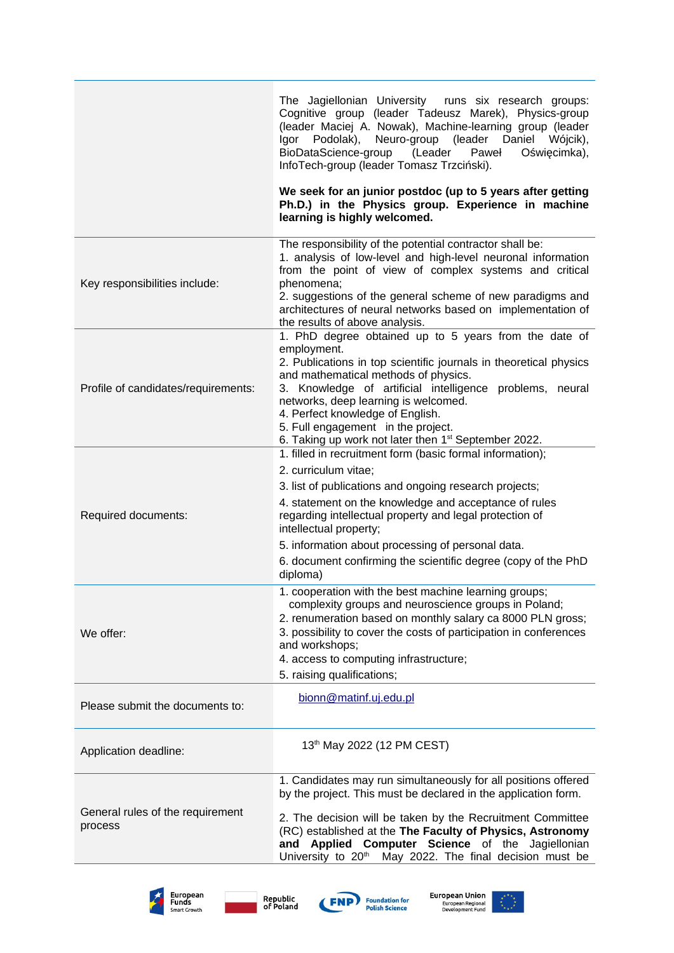|                                             | The Jagiellonian University<br>runs six research groups:<br>Cognitive group (leader Tadeusz Marek), Physics-group<br>(leader Maciej A. Nowak), Machine-learning group (leader<br>Igor Podolak),<br>Neuro-group<br>(leader<br>Daniel<br>Wójcik),<br>(Leader<br>BioDataScience-group<br>Paweł<br>Oświęcimka),<br>InfoTech-group (leader Tomasz Trzciński).<br>We seek for an junior postdoc (up to 5 years after getting<br>Ph.D.) in the Physics group. Experience in machine |
|---------------------------------------------|------------------------------------------------------------------------------------------------------------------------------------------------------------------------------------------------------------------------------------------------------------------------------------------------------------------------------------------------------------------------------------------------------------------------------------------------------------------------------|
|                                             | learning is highly welcomed.                                                                                                                                                                                                                                                                                                                                                                                                                                                 |
| Key responsibilities include:               | The responsibility of the potential contractor shall be:<br>1. analysis of low-level and high-level neuronal information<br>from the point of view of complex systems and critical<br>phenomena;<br>2. suggestions of the general scheme of new paradigms and<br>architectures of neural networks based on implementation of<br>the results of above analysis.                                                                                                               |
| Profile of candidates/requirements:         | 1. PhD degree obtained up to 5 years from the date of<br>employment.<br>2. Publications in top scientific journals in theoretical physics<br>and mathematical methods of physics.<br>3. Knowledge of artificial intelligence problems, neural<br>networks, deep learning is welcomed.<br>4. Perfect knowledge of English.<br>5. Full engagement in the project.<br>6. Taking up work not later then 1 <sup>st</sup> September 2022.                                          |
| Required documents:                         | 1. filled in recruitment form (basic formal information);<br>2. curriculum vitae;<br>3. list of publications and ongoing research projects;<br>4. statement on the knowledge and acceptance of rules<br>regarding intellectual property and legal protection of<br>intellectual property;<br>5. information about processing of personal data.<br>6. document confirming the scientific degree (copy of the PhD<br>diploma)                                                  |
| We offer:                                   | 1. cooperation with the best machine learning groups;<br>complexity groups and neuroscience groups in Poland;<br>2. renumeration based on monthly salary ca 8000 PLN gross;<br>3. possibility to cover the costs of participation in conferences<br>and workshops;<br>4. access to computing infrastructure;<br>5. raising qualifications;                                                                                                                                   |
| Please submit the documents to:             | bionn@matinf.uj.edu.pl                                                                                                                                                                                                                                                                                                                                                                                                                                                       |
| Application deadline:                       | 13th May 2022 (12 PM CEST)                                                                                                                                                                                                                                                                                                                                                                                                                                                   |
| General rules of the requirement<br>process | 1. Candidates may run simultaneously for all positions offered<br>by the project. This must be declared in the application form.<br>2. The decision will be taken by the Recruitment Committee<br>(RC) established at the The Faculty of Physics, Astronomy<br>and Applied Computer Science of the Jagiellonian<br>University to 20 <sup>th</sup><br>May 2022. The final decision must be                                                                                    |